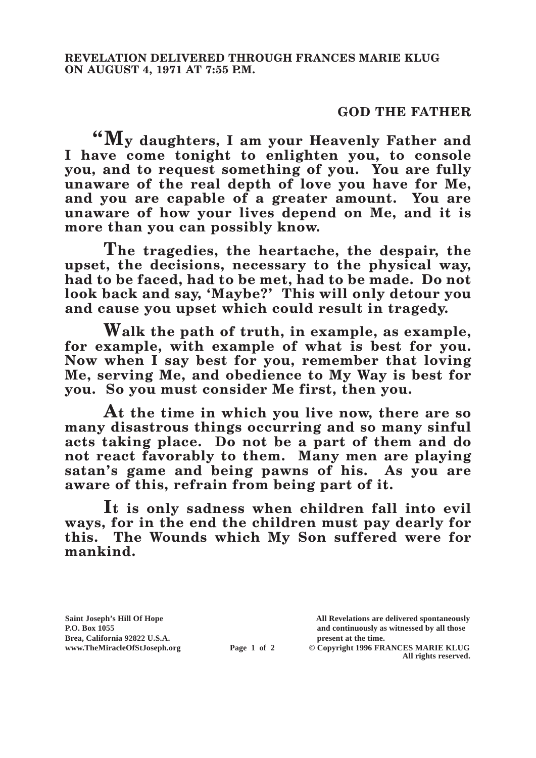## **GOD THE FATHER**

**"My daughters, I am your Heavenly Father and I have come tonight to enlighten you, to console you, and to request something of you. You are fully unaware of the real depth of love you have for Me, and you are capable of a greater amount. You are unaware of how your lives depend on Me, and it is more than you can possibly know.**

**The tragedies, the heartache, the despair, the upset, the decisions, necessary to the physical way, had to be faced, had to be met, had to be made. Do not look back and say, 'Maybe?' This will only detour you and cause you upset which could result in tragedy.**

**Walk the path of truth, in example, as example, for example, with example of what is best for you. Now when I say best for you, remember that loving Me, serving Me, and obedience to My Way is best for you. So you must consider Me first, then you.**

**At the time in which you live now, there are so many disastrous things occurring and so many sinful acts taking place. Do not be a part of them and do not react favorably to them. Many men are playing satan's game and being pawns of his. As you are aware of this, refrain from being part of it.**

**It is only sadness when children fall into evil ways, for in the end the children must pay dearly for this. The Wounds which My Son suffered were for mankind.**

**Brea, California 92822 U.S.A. present at the time.**<br> **present at the time.**<br> **present at the time.**<br> **Page 1 of 2** © Copyright 1996 FR.

**Saint Joseph's Hill Of Hope All Revelations are delivered spontaneously P.O. Box 1055 and continuously as witnessed by all those** 

**Page 1 of 2** © Copyright 1996 FRANCES MARIE KLUG **All rights reserved.**